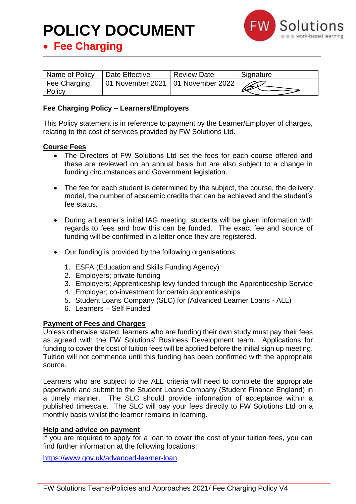## **POLICY DOCUMENT**



• **Fee Charging**

| Name of Policy                | Date Effective                      | <b>Review Date</b> | Signature |
|-------------------------------|-------------------------------------|--------------------|-----------|
| Fee Charging<br><b>Policy</b> | 01 November 2021   01 November 2022 |                    |           |

## **Fee Charging Policy – Learners/Employers**

This Policy statement is in reference to payment by the Learner/Employer of charges, relating to the cost of services provided by FW Solutions Ltd.

#### **Course Fees**

- The Directors of FW Solutions Ltd set the fees for each course offered and these are reviewed on an annual basis but are also subject to a change in funding circumstances and Government legislation.
- The fee for each student is determined by the subject, the course, the delivery model, the number of academic credits that can be achieved and the student's fee status.
- During a Learner's initial IAG meeting, students will be given information with regards to fees and how this can be funded. The exact fee and source of funding will be confirmed in a letter once they are registered.
- Our funding is provided by the following organisations:
	- 1. ESFA (Education and Skills Funding Agency)
	- 2. Employers; private funding
	- 3. Employers; Apprenticeship levy funded through the Apprenticeship Service
	- 4. Employer; co-investment for certain apprenticeships
	- 5. Student Loans Company (SLC) for (Advanced Learner Loans ALL)
	- 6. Learners Self Funded

#### **Payment of Fees and Charges**

Unless otherwise stated, learners who are funding their own study must pay their fees as agreed with the FW Solutions' Business Development team. Applications for funding to cover the cost of tuition fees will be applied before the initial sign up meeting. Tuition will not commence until this funding has been confirmed with the appropriate source.

Learners who are subject to the ALL criteria will need to complete the appropriate paperwork and submit to the Student Loans Company (Student Finance England) in a timely manner. The SLC should provide information of acceptance within a published timescale. The SLC will pay your fees directly to FW Solutions Ltd on a monthly basis whilst the learner remains in learning.

#### **Help and advice on payment**

If you are required to apply for a loan to cover the cost of your tuition fees, you can find further information at the following locations:

<https://www.gov.uk/advanced-learner-loan>